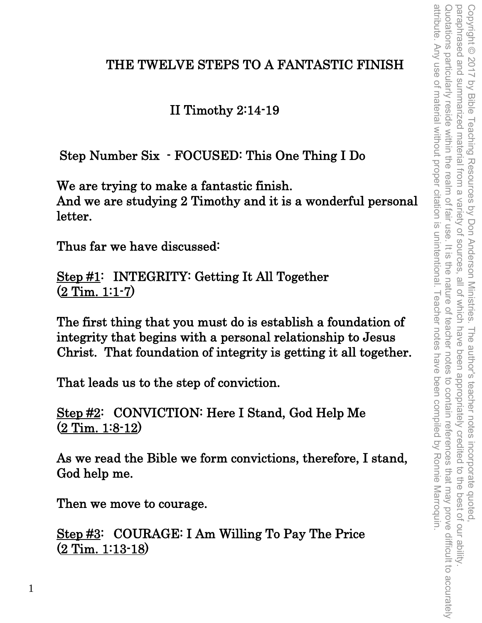# THE TWELVE STEPS TO A FANTASTIC FINISH

II Timothy 2:14-19

Step Number Six - FOCUSED: This One Thing I Do

We are trying to make a fantastic finish. And we are studying 2 Timothy and it is a wonderful personal letter.

Thus far we have discussed:

Step #1: INTEGRITY: Getting It All Together  $\overline{(2 \text{ Tim. } 1:1-7)}$ 

The first thing that you must do is establish a foundation of integrity that begins with a personal relationship to Jesus Christ. That foundation of integrity is getting it all together.

That leads us to the step of conviction.

Step #2: CONVICTION: Here I Stand, God Help Me (2 Tim. 1:8-12)

As we read the Bible we form convictions, therefore, I stand, God help me.

Then we move to courage.

Step #3: COURAGE: I Am Willing To Pay The Price (2 Tim. 1:13-18)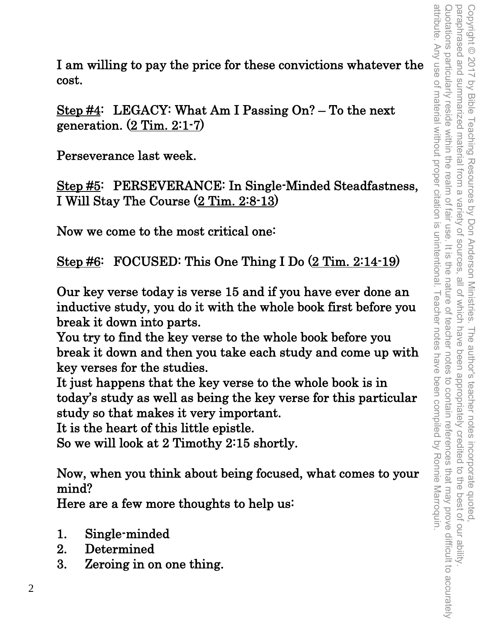I am willing to pay the price for these convictions whatever the cost.

Step #4: LEGACY: What Am I Passing On? – To the next generation. (2 Tim. 2:1-7)

Perseverance last week.

Step #5: PERSEVERANCE: In Single-Minded Steadfastness, I Will Stay The Course (2 Tim. 2:8-13)

Now we come to the most critical one:

Step #6: FOCUSED: This One Thing I Do  $(2$  Tim. 2:14-19)

Our key verse today is verse 15 and if you have ever done an inductive study, you do it with the whole book first before you break it down into parts.

You try to find the key verse to the whole book before you break it down and then you take each study and come up with key verses for the studies.

It just happens that the key verse to the whole book is in today's study as well as being the key verse for this particular study so that makes it very important.

It is the heart of this little epistle.

So we will look at 2 Timothy 2:15 shortly.

Now, when you think about being focused, what comes to your mind?

Here are a few more thoughts to help us:

- 1. Single-minded
- 2. Determined
- 3. Zeroing in on one thing.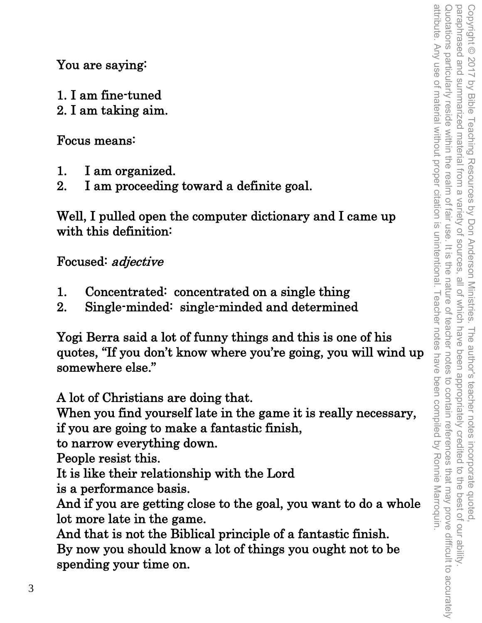You are saying:

- 1. I am fine-tuned
- 2. I am taking aim.

Focus means:

- 1. I am organized.
- 2. I am proceeding toward a definite goal.

Well, I pulled open the computer dictionary and I came up with this definition:

Focused: adjective

- 1. Concentrated: concentrated on a single thing
- 2. Single-minded: single-minded and determined

Yogi Berra said a lot of funny things and this is one of his quotes, "If you don't know where you're going, you will wind up somewhere else."

A lot of Christians are doing that.

When you find yourself late in the game it is really necessary, if you are going to make a fantastic finish,

to narrow everything down.

People resist this.

It is like their relationship with the Lord

is a performance basis.

And if you are getting close to the goal, you want to do a whole lot more late in the game.

And that is not the Biblical principle of a fantastic finish. By now you should know a lot of things you ought not to be spending your time on.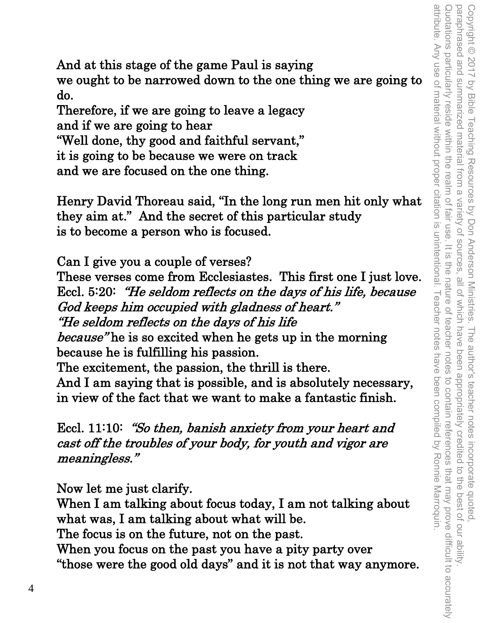And at this stage of the game Paul is saying we ought to be narrowed down to the one thing we are going to do.

Therefore, if we are going to leave a legacy and if we are going to hear

"Well done, thy good and faithful servant,"

it is going to be because we were on track

and we are focused on the one thing.

Henry David Thoreau said, "In the long run men hit only what they aim at." And the secret of this particular study is to become a person who is focused.

Can I give you a couple of verses?

These verses come from Ecclesiastes. This first one I just love. Eccl. 5:20: "He seldom reflects on the days of his life, because God keeps him occupied with gladness of heart." "He seldom reflects on the days of his life because" he is so excited when he gets up in the morning because he is fulfilling his passion. The excitement, the passion, the thrill is there. And I am saying that is possible, and is absolutely necessary,

in view of the fact that we want to make a fantastic finish.

Eccl. 11:10: "So then, banish anxiety from your heart and cast off the troubles of your body, for youth and vigor are meaningless."

Now let me just clarify.

When I am talking about focus today, I am not talking about what was, I am talking about what will be.

The focus is on the future, not on the past.

When you focus on the past you have a pity party over "those were the good old days" and it is not that way anymore.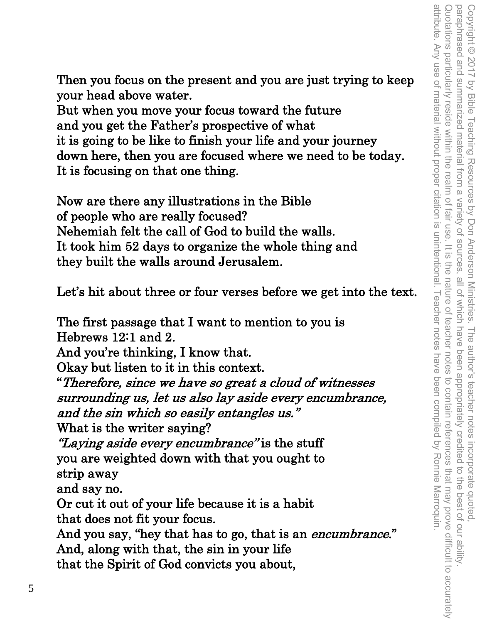Then you focus on the present and you are just trying to keep your head above water.

But when you move your focus toward the future and you get the Father's prospective of what it is going to be like to finish your life and your journey down here, then you are focused where we need to be today. It is focusing on that one thing.

Now are there any illustrations in the Bible of people who are really focused? Nehemiah felt the call of God to build the walls. It took him 52 days to organize the whole thing and they built the walls around Jerusalem.

Let's hit about three or four verses before we get into the text.

The first passage that I want to mention to you is Hebrews 12:1 and 2.

And you're thinking, I know that.

Okay but listen to it in this context.

"Therefore, since we have so great a cloud of witnesses surrounding us, let us also lay aside every encumbrance, and the sin which so easily entangles us."

What is the writer saying?

"Laying aside every encumbrance" is the stuff you are weighted down with that you ought to strip away

and say no.

Or cut it out of your life because it is a habit that does not fit your focus.

And you say, "hey that has to go, that is an *encumbrance*." And, along with that, the sin in your life

that the Spirit of God convicts you about,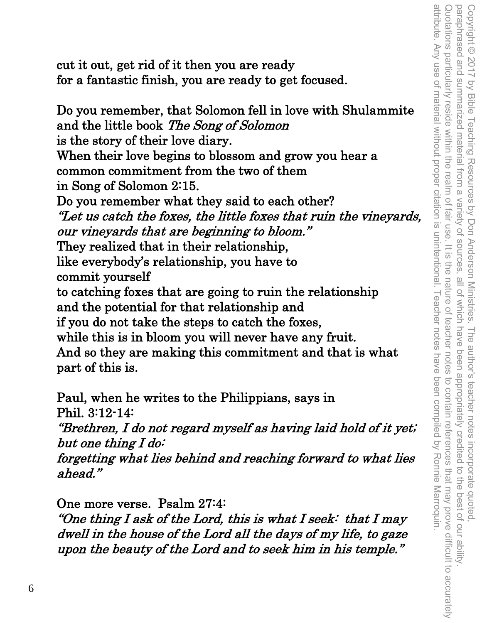attribute. Any use of material without proper citation is unintentional. Teacher notes have been compiled by Ronnie Marroquin Quotations particularly reside within the realm of fair use. It is paraphrased and summarized material from a variety of sources. attribute. Any use of material without proper citation is unintentional. Teacher notes have been compiled by Ronnie Marroquin. Quotations particularly reside within the realm of fair use. It is the nature of teacher notes to contain references that may prove difficult to accurately Copyright © 2017 by Bible Teaching Resources by Don Anderson Ministries. The author's teacher notes incorporate quoted,<br>paraphrased and summarized material from a variety of sources, all of which have been appropriately c paraphrased and summarized material from a variety of sources, all of which have been appropriately credited to the best of our ability. Copyright © 2017 by Bible Teaching Resources by Don Anderson Ministries. The author's teacher notes incorporate quoted, the nature of teacher notes to contain references that may prove difficult to accurately

cut it out, get rid of it then you are ready for a fantastic finish, you are ready to get focused.

Do you remember, that Solomon fell in love with Shulammite and the little book The Song of Solomon is the story of their love diary. When their love begins to blossom and grow you hear a common commitment from the two of them in Song of Solomon 2:15. Do you remember what they said to each other? "Let us catch the foxes, the little foxes that ruin the vineyards, our vineyards that are beginning to bloom." They realized that in their relationship, like everybody's relationship, you have to commit yourself to catching foxes that are going to ruin the relationship and the potential for that relationship and if you do not take the steps to catch the foxes, while this is in bloom you will never have any fruit. And so they are making this commitment and that is what part of this is.

Paul, when he writes to the Philippians, says in Phil. 3:12-14:

"Brethren, I do not regard myself as having laid hold of it yet; but one thing I do:

forgetting what lies behind and reaching forward to what lies ahead."

One more verse. Psalm 27:4:

"One thing I ask of the Lord, this is what I seek: that I may dwell in the house of the Lord all the days of my life, to gaze upon the beauty of the Lord and to seek him in his temple."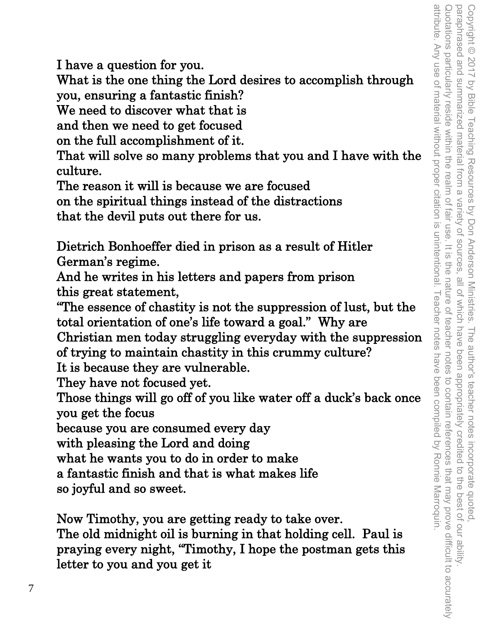I have a question for you.

What is the one thing the Lord desires to accomplish through you, ensuring a fantastic finish?

We need to discover what that is

and then we need to get focused

on the full accomplishment of it.

That will solve so many problems that you and I have with the culture.

The reason it will is because we are focused

on the spiritual things instead of the distractions that the devil puts out there for us.

Dietrich Bonhoeffer died in prison as a result of Hitler German's regime.

And he writes in his letters and papers from prison this great statement,

"The essence of chastity is not the suppression of lust, but the total orientation of one's life toward a goal." Why are

Christian men today struggling everyday with the suppression of trying to maintain chastity in this crummy culture?

It is because they are vulnerable.

They have not focused yet.

Those things will go off of you like water off a duck's back once you get the focus

because you are consumed every day

with pleasing the Lord and doing

what he wants you to do in order to make

a fantastic finish and that is what makes life

so joyful and so sweet.

Now Timothy, you are getting ready to take over.

The old midnight oil is burning in that holding cell. Paul is praying every night, "Timothy, I hope the postman gets this letter to you and you get it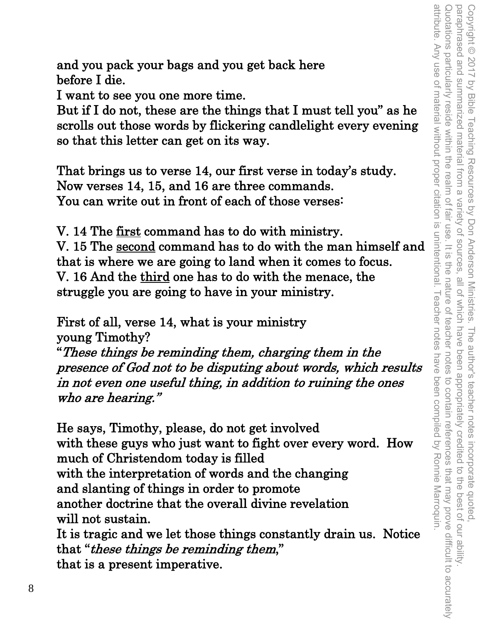attribute. Any use of material without proper citation is unintentional. Teacher notes Quotations particularly reside within the realm of fair use. It is the nature of teacher Copyright © 2017 by Bible Teaching Resources by Don Anderson Ministries. The author's teacher notes incorporate quoted,<br>paraphrased and summarized material from a variety of sources, all of which have been appropriately cr attribute. Any use of material without proper citation is unintentional. Teacher notes have been compiled by Ronnie Marroquin. Quotations particularly reside within the realm of fair use. It is the nature of teacher notes to contain references that may prove difficult to accurately paraphrased and summarized material from a variety of sources, all of which have been appropriately credited to the best of our ability. Copyright © 2017 by Bible Teaching Resources by Don Anderson Ministries. The author's teacher notes incorporate quoted, notes to contain references that may prove difficult to accurately have been compiled by Ronnie Marroquin

and you pack your bags and you get back here before I die.

I want to see you one more time.

But if I do not, these are the things that I must tell you" as he scrolls out those words by flickering candlelight every evening so that this letter can get on its way.

That brings us to verse 14, our first verse in today's study. Now verses 14, 15, and 16 are three commands. You can write out in front of each of those verses:

V. 14 The first command has to do with ministry. V. 15 The second command has to do with the man himself and that is where we are going to land when it comes to focus. V. 16 And the third one has to do with the menace, the struggle you are going to have in your ministry.

First of all, verse 14, what is your ministry young Timothy?

"These things be reminding them, charging them in the presence of God not to be disputing about words, which results in not even one useful thing, in addition to ruining the ones who are hearing."

He says, Timothy, please, do not get involved with these guys who just want to fight over every word. How much of Christendom today is filled with the interpretation of words and the changing and slanting of things in order to promote another doctrine that the overall divine revelation will not sustain. It is tragic and we let those things constantly drain us. Notice that "these things be reminding them,"

that is a present imperative.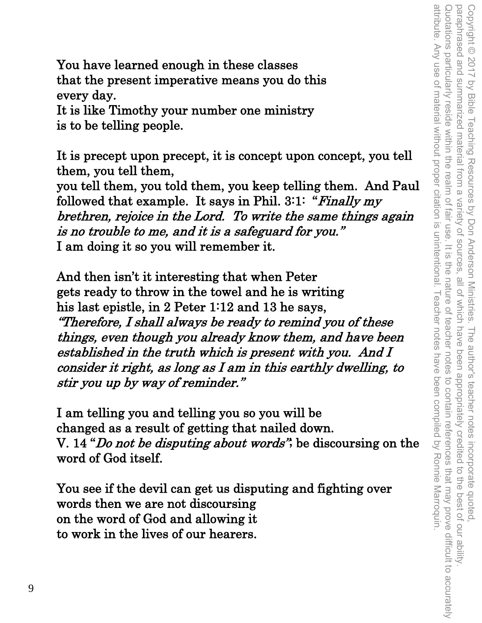attribute. Any use of material without proper citation is unintentional. Teacher notes have been compiled by Ronnie Marroquin. Quotations particularly reside within the realm of fair use. It is Copyright © 2017 by Bible Teaching Resources by Don Anderson Ministries. The author's teacher notes incorporate quoted,<br>paraphrased and summarized material from a variety of sources, all of which have been appropriately cr attribute. Any use of material without proper citation is unintentional. Teacher notes have been compiled by Ronnie Marroquin. Quotations particularly reside within the realm of fair use. It is the nature of teacher notes to contain references that may prove difficult to accurately paraphrased and summarized material from a variety of sources, all of which have been appropriately credited to the best of our ability. Copyright © 2017 by Bible Teaching Resources by Don Anderson Ministries. The author's teacher notes incorporate quoted, the nature of teacher notes to contain references that may prove difficult to accurately

You have learned enough in these classes that the present imperative means you do this every day.

It is like Timothy your number one ministry is to be telling people.

It is precept upon precept, it is concept upon concept, you tell them, you tell them,

you tell them, you told them, you keep telling them. And Paul followed that example. It says in Phil.  $3:1:$  "Finally my brethren, rejoice in the Lord. To write the same things again is no trouble to me, and it is a safeguard for you." I am doing it so you will remember it.

And then isn't it interesting that when Peter gets ready to throw in the towel and he is writing his last epistle, in 2 Peter 1:12 and 13 he says, "Therefore, I shall always be ready to remind you of these things, even though you already know them, and have been established in the truth which is present with you. And I consider it right, as long as I am in this earthly dwelling, to stir you up by way of reminder."

I am telling you and telling you so you will be changed as a result of getting that nailed down. V. 14 "*Do not be disputing about words*", be discoursing on the word of God itself.

You see if the devil can get us disputing and fighting over words then we are not discoursing on the word of God and allowing it to work in the lives of our hearers.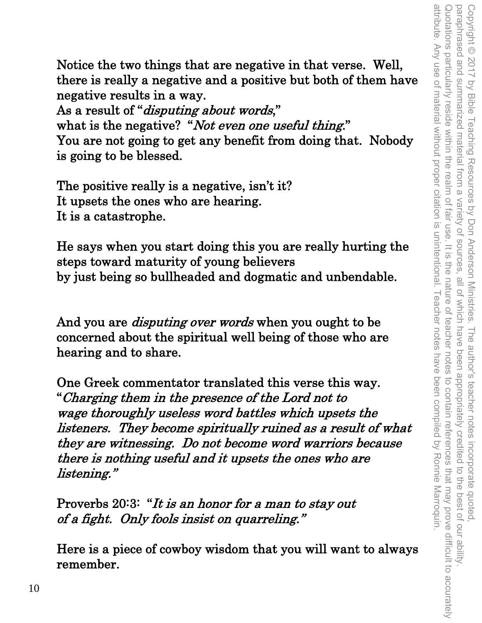attribute. Any use of material without proper citation is unintentional. Teacher notes have been compiled by Ronnie Marroquin Quotations particularly reside within the realm of fair use. It is the nature of teacher Copyright © 2017 by Bible Teaching Resources by Don Anderson Ministries. The author's teacher notes incorporate quoted,<br>paraphrased and summarized material from a variety of sources, all of which have been appropriately c attribute. Any use of material without proper citation is unintentional. Teacher notes have been compiled by Ronnie Marroquin. Quotations particularly reside within the realm of fair use. It is the nature of teacher notes to contain references that may prove difficult to accurately paraphrased and summarized material from a variety of sources, all of which have been appropriately credited to the best of our ability. Copyright © 2017 by Bible Teaching Resources by Don Anderson Ministries. The author's teacher notes incorporate quoted, notes to contain references that may prove difficult to accurately

Notice the two things that are negative in that verse. Well, there is really a negative and a positive but both of them have negative results in a way.

As a result of "*disputing about words*," what is the negative? "Not even one useful thing." You are not going to get any benefit from doing that. Nobody is going to be blessed.

The positive really is a negative, isn't it? It upsets the ones who are hearing. It is a catastrophe.

He says when you start doing this you are really hurting the steps toward maturity of young believers by just being so bullheaded and dogmatic and unbendable.

And you are *disputing over words* when you ought to be concerned about the spiritual well being of those who are hearing and to share.

One Greek commentator translated this verse this way. "Charging them in the presence of the Lord not to wage thoroughly useless word battles which upsets the listeners. They become spiritually ruined as a result of what they are witnessing. Do not become word warriors because there is nothing useful and it upsets the ones who are listening."

Proverbs 20:3: "It is an honor for a man to stay out of a fight. Only fools insist on quarreling."

Here is a piece of cowboy wisdom that you will want to always remember.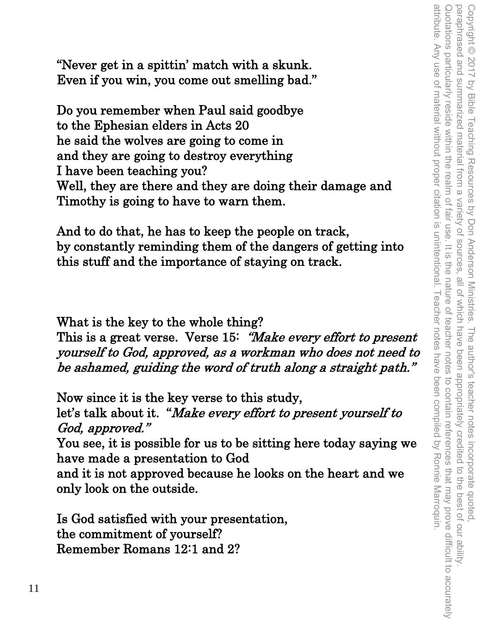"Never get in a spittin' match with a skunk. Even if you win, you come out smelling bad."

Do you remember when Paul said goodbye to the Ephesian elders in Acts 20 he said the wolves are going to come in and they are going to destroy everything I have been teaching you? Well, they are there and they are doing their damage and Timothy is going to have to warn them.

And to do that, he has to keep the people on track, by constantly reminding them of the dangers of getting into this stuff and the importance of staying on track.

What is the key to the whole thing?

This is a great verse. Verse 15: "Make every effort to present" yourself to God, approved, as a workman who does not need to be ashamed, guiding the word of truth along a straight path."

Now since it is the key verse to this study, let's talk about it. "Make every effort to present yourself to God, approved." You see, it is possible for us to be sitting here today saying we have made a presentation to God and it is not approved because he looks on the heart and we only look on the outside.

Is God satisfied with your presentation, the commitment of yourself? Remember Romans 12:1 and 2?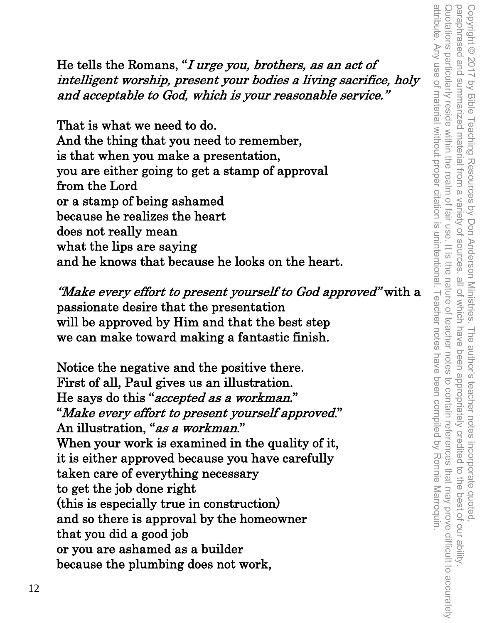He tells the Romans, "I urge you, brothers, as an act of intelligent worship, present your bodies a living sacrifice, holy and acceptable to God, which is your reasonable service."

That is what we need to do. And the thing that you need to remember, is that when you make a presentation, you are either going to get a stamp of approval from the Lord or a stamp of being ashamed because he realizes the heart does not really mean what the lips are saying and he knows that because he looks on the heart.

"Make every effort to present yourself to God approved" with a passionate desire that the presentation will be approved by Him and that the best step we can make toward making a fantastic finish.

Notice the negative and the positive there. First of all, Paul gives us an illustration. He says do this "accepted as a workman." "Make every effort to present yourself approved." An illustration, "as a workman." When your work is examined in the quality of it, it is either approved because you have carefully taken care of everything necessary to get the job done right (this is especially true in construction) and so there is approval by the homeowner that you did a good job or you are ashamed as a builder because the plumbing does not work,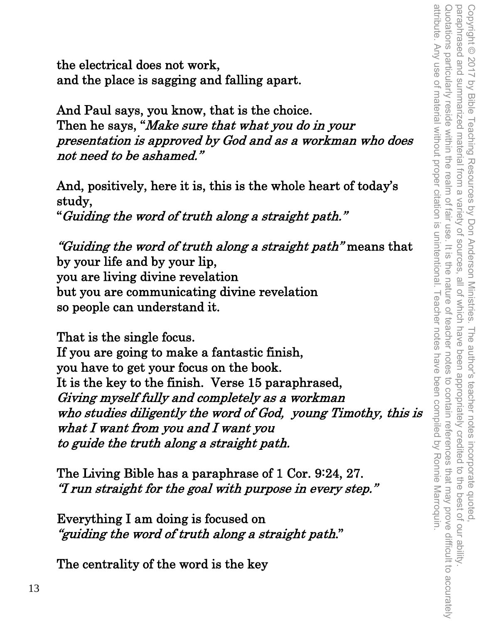attribute. Any use of material without proper citation is unintentional. Teacher notes have been compiled by Ronnie Marroquin Quotations particularly reside within the realm of fair use. It is the nature of teacher notes to contain references that may prove difficult to accurately Copyright © 2017 by Bible Teaching Resources by Don Anderson Ministries. The author's teacher notes incorporate quoted,<br>paraphrased and summarized material from a variety of sources, all of which have been appropriately cr attribute. Any use of material without proper citation is unintentional. Teacher notes have been compiled by Ronnie Marroquin. Quotations particularly reside within the realm of fair use. It is the nature of teacher notes to contain references that may prove difficult to accurately paraphrased and summarized material from a variety of sources, all of which have been appropriately credited to the best of our ability. Copyright © 2017 by Bible Teaching Resources by Don Anderson Ministries. The author's teacher notes incorporate quoted,

the electrical does not work, and the place is sagging and falling apart.

And Paul says, you know, that is the choice. Then he says, "*Make sure that what you do in your* presentation is approved by God and as a workman who does not need to be ashamed."

And, positively, here it is, this is the whole heart of today's study,

"Guiding the word of truth along a straight path."

"Guiding the word of truth along a straight path" means that by your life and by your lip, you are living divine revelation but you are communicating divine revelation so people can understand it.

That is the single focus.

If you are going to make a fantastic finish, you have to get your focus on the book. It is the key to the finish. Verse 15 paraphrased, Giving myself fully and completely as a workman who studies diligently the word of God, young Timothy, this is what I want from you and I want you to guide the truth along a straight path.

The Living Bible has a paraphrase of 1 Cor. 9:24, 27. "I run straight for the goal with purpose in every step."

Everything I am doing is focused on "guiding the word of truth along a straight path."

The centrality of the word is the key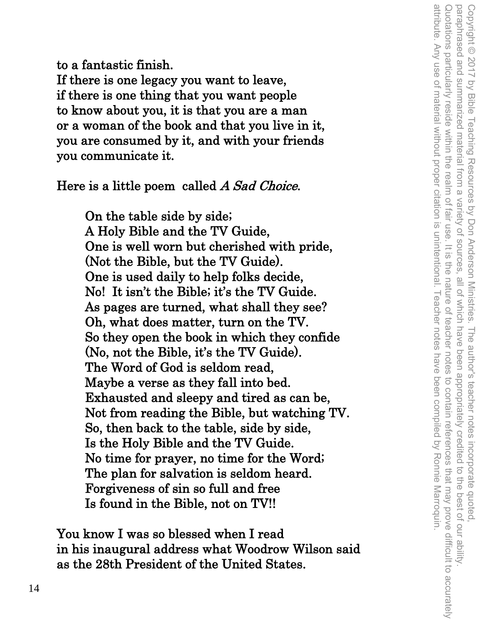to a fantastic finish. If there is one legacy you want to leave, if there is one thing that you want people to know about you, it is that you are a man or a woman of the book and that you live in it, you are consumed by it, and with your friends you communicate it.

Here is a little poem called A Sad Choice.

On the table side by side; A Holy Bible and the TV Guide, One is well worn but cherished with pride, (Not the Bible, but the TV Guide). One is used daily to help folks decide, No! It isn't the Bible; it's the TV Guide. As pages are turned, what shall they see? Oh, what does matter, turn on the TV. So they open the book in which they confide (No, not the Bible, it's the TV Guide). The Word of God is seldom read, Maybe a verse as they fall into bed. Exhausted and sleepy and tired as can be, Not from reading the Bible, but watching TV. So, then back to the table, side by side, Is the Holy Bible and the TV Guide. No time for prayer, no time for the Word; The plan for salvation is seldom heard. Forgiveness of sin so full and free Is found in the Bible, not on TV!!

You know I was so blessed when I read in his inaugural address what Woodrow Wilson said as the 28th President of the United States.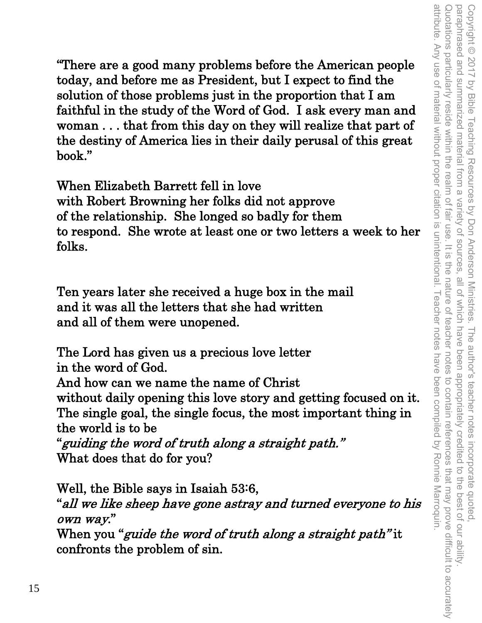"There are a good many problems before the American people today, and before me as President, but I expect to find the solution of those problems just in the proportion that I am faithful in the study of the Word of God. I ask every man and woman . . . that from this day on they will realize that part of the destiny of America lies in their daily perusal of this great book."

When Elizabeth Barrett fell in love with Robert Browning her folks did not approve of the relationship. She longed so badly for them to respond. She wrote at least one or two letters a week to her folks.

Ten years later she received a huge box in the mail and it was all the letters that she had written and all of them were unopened.

The Lord has given us a precious love letter in the word of God. And how can we name the name of Christ without daily opening this love story and getting focused on it. The single goal, the single focus, the most important thing in the world is to be "guiding the word of truth along a straight path." What does that do for you?

Well, the Bible says in Isaiah 53:6, "all we like sheep have gone astray and turned everyone to his own way." When you "*guide the word of truth along a straight path*" it confronts the problem of sin.

attribute. Any use of material without proper citation is unintentional. Teacher notes have been compiled by Ronnie Marroquin. Quotations particularly reside within the realm of fair use. It is paraphrased and summarized material from a variety of sources. attribute. Any use of material without proper citation is unintentional. Teacher notes have been compiled by Ronnie Marroquin. Quotations particularly reside within the realm of fair use. It is the nature of teacher notes to contain references that may prove difficult to accurately Copyright © 2017 by Bible Teaching Resources by Don Anderson Ministries. The author's teacher notes incorporate quoted,<br>paraphrased and summarized material from a variety of sources, all of which have been appropriately c paraphrased and summarized material from a variety of sources, all of which have been appropriately credited to the best of our ability. Copyright © 2017 by Bible Teaching Resources by Don Anderson Ministries. The author's teacher notes incorporate quoted, the nature of feacher notes to contain references that may prove difficult to accurately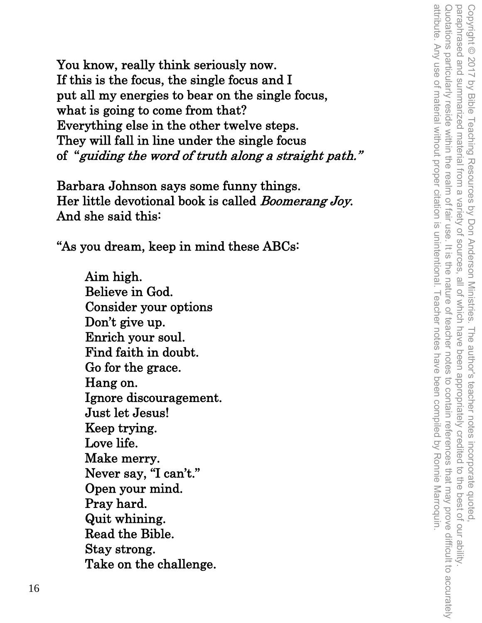You know, really think seriously now. If this is the focus, the single focus and I put all my energies to bear on the single focus, what is going to come from that? Everything else in the other twelve steps. They will fall in line under the single focus of "guiding the word of truth along a straight path."

Barbara Johnson says some funny things. Her little devotional book is called Boomerang Joy. And she said this:

"As you dream, keep in mind these ABCs:

Aim high. Believe in God. Consider your options Don't give up. Enrich your soul. Find faith in doubt. Go for the grace. Hang on. Ignore discouragement. Just let Jesus! Keep trying. Love life. Make merry. Never say, "I can't." Open your mind. Pray hard. Quit whining. Read the Bible. Stay strong. Take on the challenge.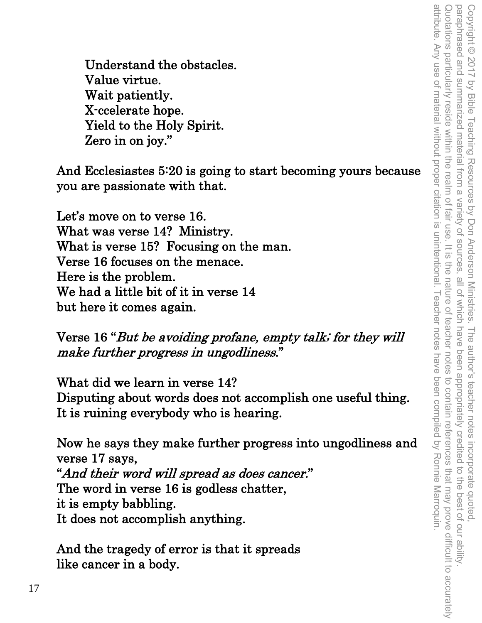attribute. Any use of material without proper citation is unintentional. Teacher notes have been compiled by Ronnie Marroquin. Quotations particularly reside within the realm of fair use. It is the nature of teacher notes to contain references that may prove difficult to accurately Copyright © 2017 by Bible Teaching Resources by Don Anderson Ministries. The author's teacher notes incorporate quoted,<br>paraphrased and summarized material from a variety of sources, all of which have been appropriately cr attribute. Any use of material without proper citation is unintentional. Teacher notes have been compiled by Ronnie Marroquin. Quotations particularly reside within the realm of fair use. It is the nature of teacher notes to contain references that may prove difficult to accurately paraphrased and summarized material from a variety of sources, all of which have been appropriately credited to the best of our ability. Copyright © 2017 by Bible Teaching Resources by Don Anderson Ministries. The author's teacher notes incorporate quoted,

Understand the obstacles. Value virtue. Wait patiently. X-ccelerate hope. Yield to the Holy Spirit. Zero in on joy."

And Ecclesiastes 5:20 is going to start becoming yours because you are passionate with that.

Let's move on to verse 16. What was verse 14? Ministry. What is verse 15? Focusing on the man. Verse 16 focuses on the menace. Here is the problem. We had a little bit of it in verse 14 but here it comes again.

Verse 16 "But be avoiding profane, empty talk; for they will make further progress in ungodliness."

What did we learn in verse 14? Disputing about words does not accomplish one useful thing. It is ruining everybody who is hearing.

Now he says they make further progress into ungodliness and verse 17 says, "And their word will spread as does cancer." The word in verse 16 is godless chatter, it is empty babbling. It does not accomplish anything.

And the tragedy of error is that it spreads like cancer in a body.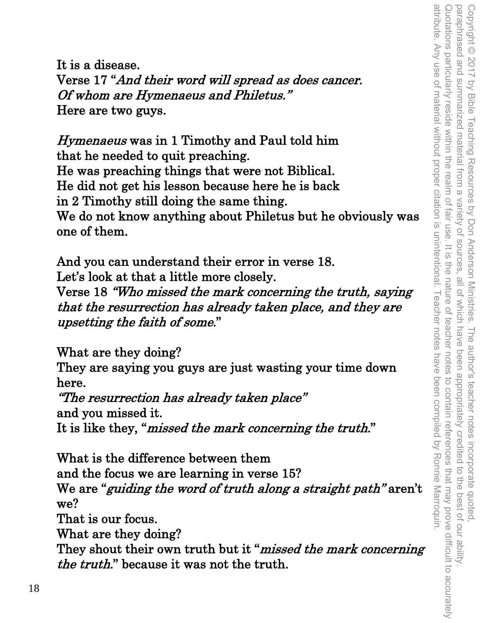It is a disease. Verse 17 "And their word will spread as does cancer. Of whom are Hymenaeus and Philetus." Here are two guys.

Hymenaeus was in 1 Timothy and Paul told him that he needed to quit preaching. He was preaching things that were not Biblical. He did not get his lesson because here he is back in 2 Timothy still doing the same thing. We do not know anything about Philetus but he obviously was one of them.

And you can understand their error in verse 18. Let's look at that a little more closely. Verse 18 "Who missed the mark concerning the truth, saying that the resurrection has already taken place, and they are upsetting the faith of some."

What are they doing?

They are saying you guys are just wasting your time down here.

"The resurrection has already taken place" and you missed it. It is like they, "missed the mark concerning the truth."

What is the difference between them and the focus we are learning in verse 15? We are "guiding the word of truth along a straight path" aren't we? That is our focus. What are they doing? They shout their own truth but it "*missed the mark concerning*" the truth." because it was not the truth.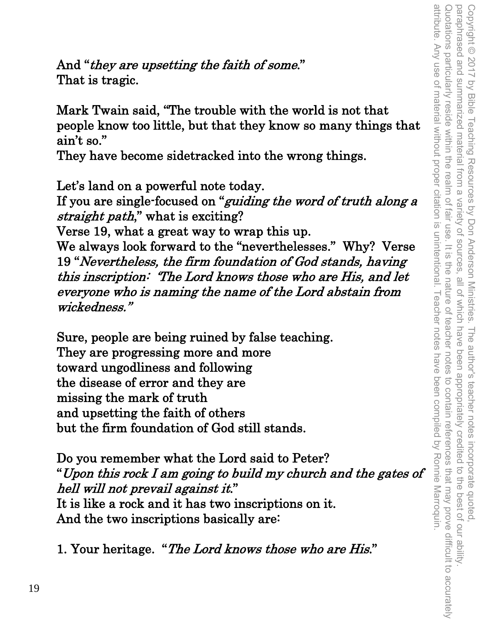And "they are upsetting the faith of some." That is tragic.

Mark Twain said, "The trouble with the world is not that people know too little, but that they know so many things that ain't so."

They have become sidetracked into the wrong things.

Let's land on a powerful note today.

If you are single-focused on "*guiding the word of truth along a* straight path," what is exciting?

Verse 19, what a great way to wrap this up.

We always look forward to the "neverthelesses." Why? Verse 19 "Nevertheless, the firm foundation of God stands, having this inscription: 'The Lord knows those who are His, and let everyone who is naming the name of the Lord abstain from wickedness."

Sure, people are being ruined by false teaching. They are progressing more and more toward ungodliness and following the disease of error and they are missing the mark of truth and upsetting the faith of others but the firm foundation of God still stands.

Do you remember what the Lord said to Peter? "Upon this rock I am going to build my church and the gates of hell will not prevail against it." It is like a rock and it has two inscriptions on it. And the two inscriptions basically are:

1. Your heritage. "The Lord knows those who are His."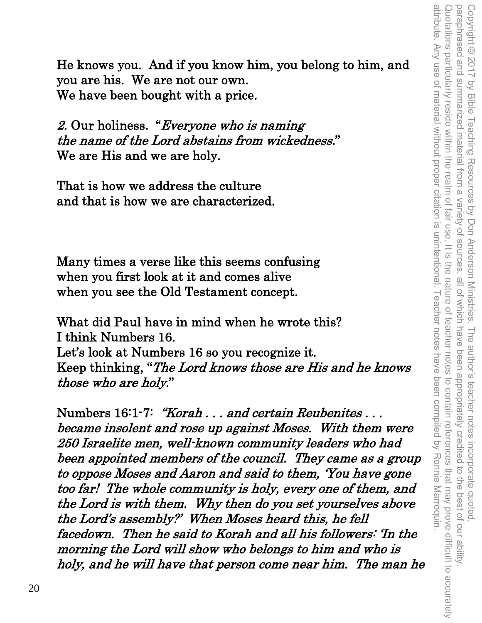He knows you. And if you know him, you belong to him, and you are his. We are not our own. We have been bought with a price.

2. Our holiness. "Everyone who is naming the name of the Lord abstains from wickedness." We are His and we are holy.

That is how we address the culture and that is how we are characterized.

Many times a verse like this seems confusing when you first look at it and comes alive when you see the Old Testament concept.

What did Paul have in mind when he wrote this? I think Numbers 16. Let's look at Numbers 16 so you recognize it. Keep thinking, "The Lord knows those are His and he knows those who are holy."

Numbers 16:1-7: "Korah . . . and certain Reubenites . . . became insolent and rose up against Moses. With them were 250 Israelite men, well-known community leaders who had been appointed members of the council. They came as a group to oppose Moses and Aaron and said to them, 'You have gone too far! The whole community is holy, every one of them, and the Lord is with them. Why then do you set yourselves above the Lord's assembly?' When Moses heard this, he fell facedown. Then he said to Korah and all his followers: 'In the morning the Lord will show who belongs to him and who is holy, and he will have that person come near him. The man he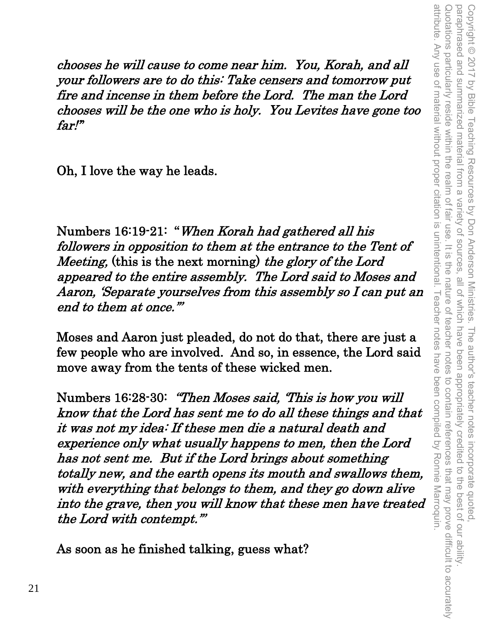chooses he will cause to come near him. You, Korah, and all your followers are to do this: Take censers and tomorrow put fire and incense in them before the Lord. The man the Lord chooses will be the one who is holy. You Levites have gone too far!"

Oh, I love the way he leads.

Numbers 16:19-21: "When Korah had gathered all his followers in opposition to them at the entrance to the Tent of Meeting, (this is the next morning) the glory of the Lord appeared to the entire assembly. The Lord said to Moses and Aaron, 'Separate yourselves from this assembly so I can put an end to them at once.'"

Copyright © 2017 by Bible Teaching Resources by Don Anderson Ministries. The author's teacher notes incorporate quoted,

paraphrased and summarized material from a variety of sources, all of which have been appropriately credited to the best of our ability.

Copyright © 2017 by Bible Teaching Resources by Don Anderson Ministries. The author's teacher notes incorporate quoted,<br>paraphrased and summarized material from a variety of sources, all of which have been appropriately c

Quotations particularly reside within the realm of fair use. It is the nature of teacher notes to contain references that may prove difficult to accurately

the nature of teacher notes

to contain references that may prove difficult to accurately

Quotations particularly reside within the realm of fair use. It is

paraphrased and summarized material from a

attribute. Any use of material without proper citation is unintentional. Teacher notes have been compiled by Ronnie Marroquin. attribute. Any use of material without proper citation is unintentional. Teacher notes have been compiled by Ronnie Marroquin.

Moses and Aaron just pleaded, do not do that, there are just a few people who are involved. And so, in essence, the Lord said move away from the tents of these wicked men.

Numbers 16:28-30: "Then Moses said, 'This is how you will know that the Lord has sent me to do all these things and that it was not my idea: If these men die a natural death and experience only what usually happens to men, then the Lord has not sent me. But if the Lord brings about something totally new, and the earth opens its mouth and swallows them, with everything that belongs to them, and they go down alive into the grave, then you will know that these men have treated the Lord with contempt.'"

As soon as he finished talking, guess what?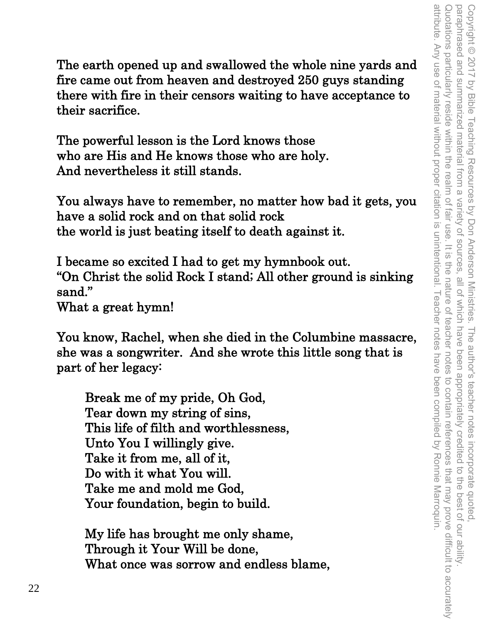attribute. Any use of material without proper citation is unintentional. Teacher notes have been compiled by Ronnie Marroquin. Quotations particularly reside within the realm of fair use. It is Copyright © 2017 by Bible Teaching Resources by Don Anderson Ministries. The author's teacher notes incorporate quoted,<br>paraphrased and summarized material from a variety of sources, all of which have been appropriately c attribute. Any use of material without proper citation is unintentional. Teacher notes have been compiled by Ronnie Marroquin. Quotations particularly reside within the realm of fair use. It is the nature of teacher notes to contain references that may prove difficult to accurately paraphrased and summarized material from a variety of sources, all of which have been appropriately credited to the best of our ability. Copyright © 2017 by Bible Teaching Resources by Don Anderson Ministries. The author's teacher notes incorporate quoted, the nature of teacher notes to contain references that may prove difficult to accurately

The earth opened up and swallowed the whole nine yards and fire came out from heaven and destroyed 250 guys standing there with fire in their censors waiting to have acceptance to their sacrifice.

The powerful lesson is the Lord knows those who are His and He knows those who are holy. And nevertheless it still stands.

You always have to remember, no matter how bad it gets, you have a solid rock and on that solid rock the world is just beating itself to death against it.

I became so excited I had to get my hymnbook out. "On Christ the solid Rock I stand; All other ground is sinking sand." What a great hymn!

You know, Rachel, when she died in the Columbine massacre, she was a songwriter. And she wrote this little song that is part of her legacy:

Break me of my pride, Oh God, Tear down my string of sins, This life of filth and worthlessness, Unto You I willingly give. Take it from me, all of it, Do with it what You will. Take me and mold me God, Your foundation, begin to build.

My life has brought me only shame, Through it Your Will be done, What once was sorrow and endless blame,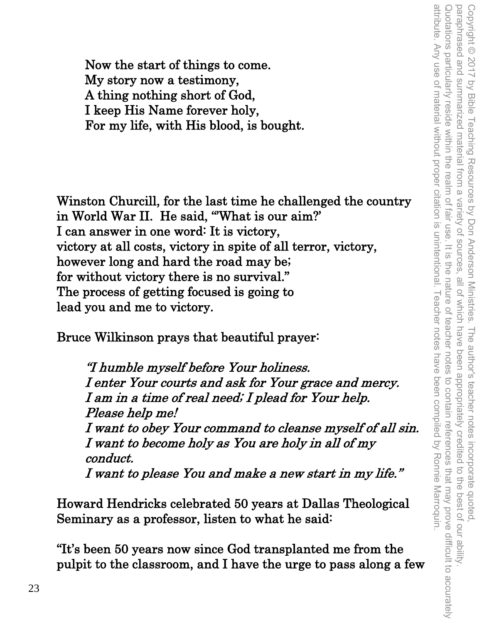Now the start of things to come. My story now a testimony, A thing nothing short of God, I keep His Name forever holy, For my life, with His blood, is bought.

Winston Churcill, for the last time he challenged the country in World War II. He said, "What is our aim?' I can answer in one word: It is victory, victory at all costs, victory in spite of all terror, victory, however long and hard the road may be; for without victory there is no survival." The process of getting focused is going to lead you and me to victory.

Bruce Wilkinson prays that beautiful prayer:

"I humble myself before Your holiness. I enter Your courts and ask for Your grace and mercy. I am in a time of real need; I plead for Your help. Please help me! I want to obey Your command to cleanse myself of all sin. I want to become holy as You are holy in all of my conduct. I want to please You and make a new start in my life."

Howard Hendricks celebrated 50 years at Dallas Theological Seminary as a professor, listen to what he said:

"It's been 50 years now since God transplanted me from the pulpit to the classroom, and I have the urge to pass along a few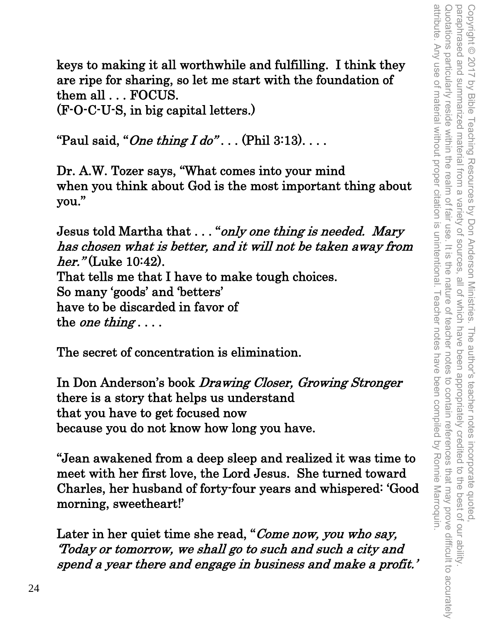keys to making it all worthwhile and fulfilling. I think they are ripe for sharing, so let me start with the foundation of them all . . . FOCUS.

(F-O-C-U-S, in big capital letters.)

"Paul said, "One thing  $Ido$ "... (Phil 3:13)...

Dr. A.W. Tozer says, "What comes into your mind when you think about God is the most important thing about you."

Jesus told Martha that . . . "only one thing is needed. Mary has chosen what is better, and it will not be taken away from her." (Luke 10:42). That tells me that I have to make tough choices. So many 'goods' and 'betters' have to be discarded in favor of the *one thing* ...

The secret of concentration is elimination.

In Don Anderson's book Drawing Closer, Growing Stronger there is a story that helps us understand that you have to get focused now because you do not know how long you have.

"Jean awakened from a deep sleep and realized it was time to meet with her first love, the Lord Jesus. She turned toward Charles, her husband of forty-four years and whispered: 'Good morning, sweetheart!'

Later in her quiet time she read, "Come now, you who say, 'Today or tomorrow, we shall go to such and such a city and spend a year there and engage in business and make a profit.'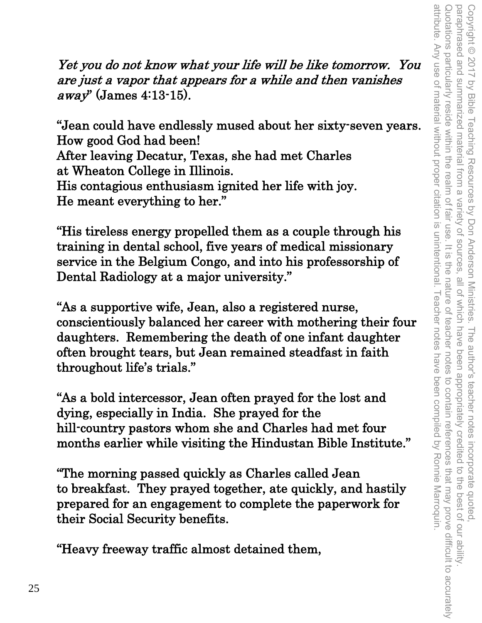Yet you do not know what your life will be like tomorrow. You are just a vapor that appears for a while and then vanishes  $a$ way" (James 4:13-15).

"Jean could have endlessly mused about her sixty-seven years. How good God had been! After leaving Decatur, Texas, she had met Charles at Wheaton College in Illinois. His contagious enthusiasm ignited her life with joy. He meant everything to her."

"His tireless energy propelled them as a couple through his training in dental school, five years of medical missionary service in the Belgium Congo, and into his professorship of Dental Radiology at a major university."

"As a supportive wife, Jean, also a registered nurse, conscientiously balanced her career with mothering their four daughters. Remembering the death of one infant daughter often brought tears, but Jean remained steadfast in faith throughout life's trials."

"As a bold intercessor, Jean often prayed for the lost and dying, especially in India. She prayed for the hill-country pastors whom she and Charles had met four months earlier while visiting the Hindustan Bible Institute."

"The morning passed quickly as Charles called Jean to breakfast. They prayed together, ate quickly, and hastily prepared for an engagement to complete the paperwork for their Social Security benefits.

"Heavy freeway traffic almost detained them,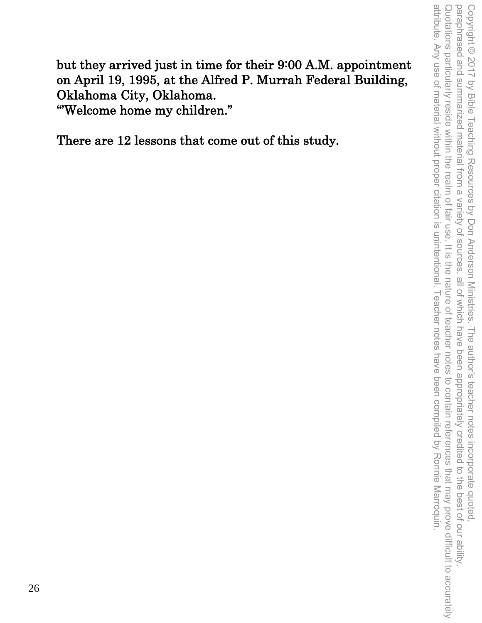attribute. Any use of material without proper citation is unintentional. Teacher notes have been compiled by Ronnie Marroquin. Quotations particularly reside within the realm of fair use. It is the nature of teacher notes to contain references that may prove difficult to accurately paraphrased and summarized material from a variety of sources, all of which have been appropriately credited to the best of our ability Copyright © 2017 by Bible Teaching Resources by Don Anderson Ministries. The author's teacher notes incorporate quoted attribute. Any use of material without proper citation is unintentional. Teacher notes have been compiled by Ronnie Marroquin. Quotations particularly reside within the realm of fair use. It is the nature of teacher notes to contain references that may prove difficult to accurately paraphrased and summarized material from a variety of sources, all of which have been appropriately credited to the best of our ability. Copyright © 2017 by Bible Teaching Resources by Don Anderson Ministries. The author's teacher notes incorporate quoted,

but they arrived just in time for their 9:00 A.M. appointment on April 19, 1995, at the Alfred P. Murrah Federal Building, Oklahoma City, Oklahoma. "'Welcome home my children."

There are 12 lessons that come out of this study.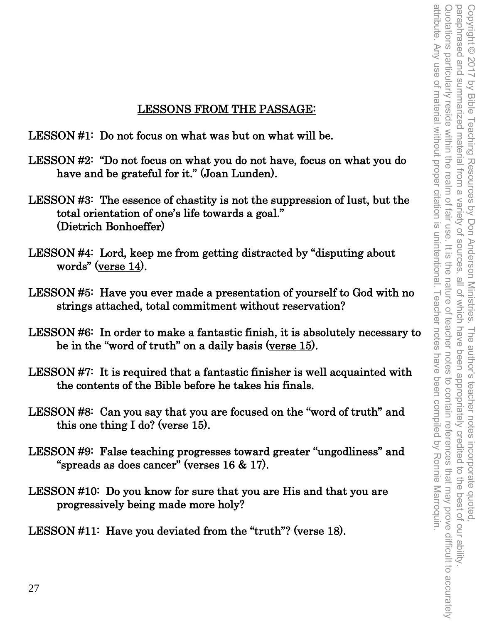# LESSONS FROM THE PASSAGE:

LESSON #1: Do not focus on what was but on what will be.

- LESSON #2: "Do not focus on what you do not have, focus on what you do have and be grateful for it." (Joan Lunden).
- LESSON #3: The essence of chastity is not the suppression of lust, but the total orientation of one's life towards a goal." (Dietrich Bonhoeffer)
- LESSON #4: Lord, keep me from getting distracted by "disputing about words" (verse 14).
- LESSON #5: Have you ever made a presentation of yourself to God with no strings attached, total commitment without reservation?
- LESSON #6: In order to make a fantastic finish, it is absolutely necessary to be in the "word of truth" on a daily basis (verse 15).
- LESSON #7: It is required that a fantastic finisher is well acquainted with the contents of the Bible before he takes his finals.
- LESSON #8: Can you say that you are focused on the "word of truth" and this one thing I do? (verse 15).
- LESSON #9: False teaching progresses toward greater "ungodliness" and "spreads as does cancer" (verses 16 & 17).
- LESSON #10: Do you know for sure that you are His and that you are progressively being made more holy?

LESSON #11: Have you deviated from the "truth"? (verse 18).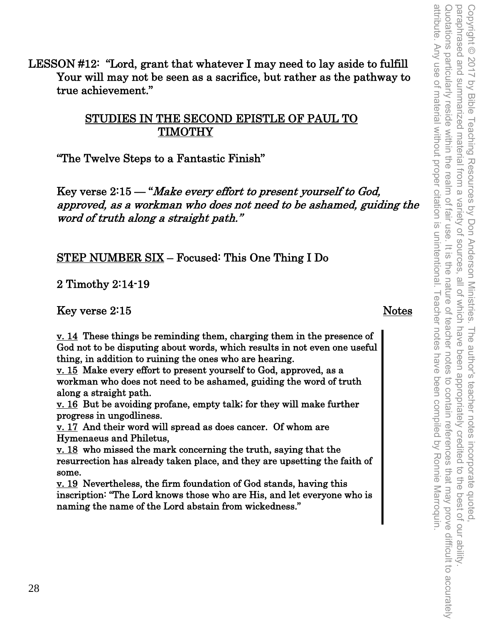LESSON #12: "Lord, grant that whatever I may need to lay aside to fulfill Your will may not be seen as a sacrifice, but rather as the pathway to true achievement."

## STUDIES IN THE SECOND EPISTLE OF PAUL TO TIMOTHY

"The Twelve Steps to a Fantastic Finish"

Key verse 2:15 — "Make every effort to present yourself to God, approved, as a workman who does not need to be ashamed, guiding the word of truth along a straight path."

STEP NUMBER SIX – Focused: This One Thing I Do

2 Timothy 2:14-19

Key verse 2:15 Notes

 $\underline{v}$ . 14 These things be reminding them, charging them in the presence of God not to be disputing about words, which results in not even one useful thing, in addition to ruining the ones who are hearing.

v. 15 Make every effort to present yourself to God, approved, as a workman who does not need to be ashamed, guiding the word of truth along a straight path.

v. 16 But be avoiding profane, empty talk; for they will make further progress in ungodliness.

v. 17 And their word will spread as does cancer. Of whom are Hymenaeus and Philetus,

v. 18 who missed the mark concerning the truth, saying that the resurrection has already taken place, and they are upsetting the faith of some.

v. 19 Nevertheless, the firm foundation of God stands, having this inscription: "The Lord knows those who are His, and let everyone who is naming the name of the Lord abstain from wickedness."